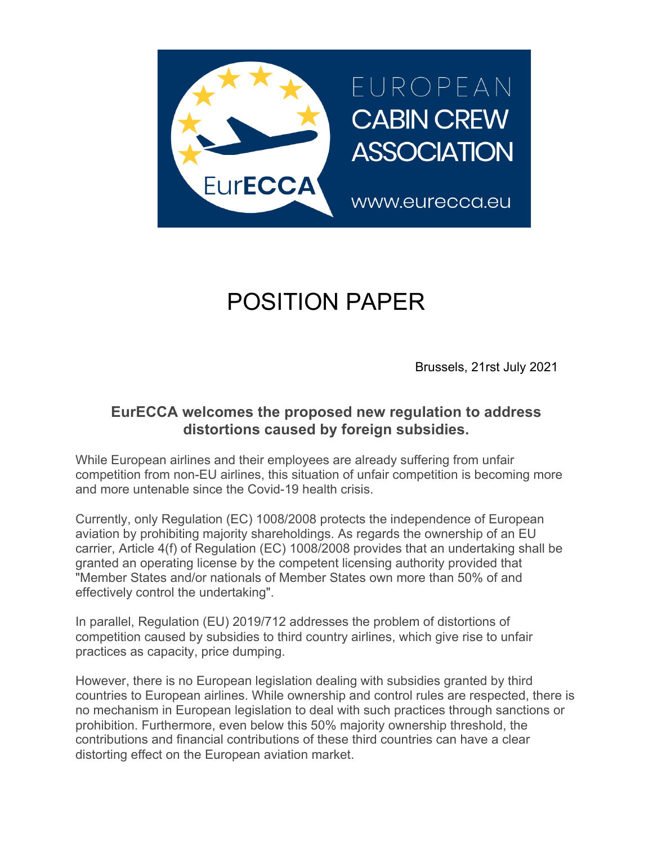

## POSITION PAPER

Brussels, 21rst July 2021

## **EurECCA welcomes the proposed new regulation to address distortions caused by foreign subsidies.**

While European airlines and their employees are already suffering from unfair competition from non-EU airlines, this situation of unfair competition is becoming more and more untenable since the Covid-19 health crisis.

Currently, only Regulation (EC) 1008/2008 protects the independence of European aviation by prohibiting majority shareholdings. As regards the ownership of an EU carrier, Article 4(f) of Regulation (EC) 1008/2008 provides that an undertaking shall be granted an operating license by the competent licensing authority provided that "Member States and/or nationals of Member States own more than 50% of and effectively control the undertaking".

In parallel, Regulation (EU) 2019/712 addresses the problem of distortions of competition caused by subsidies to third country airlines, which give rise to unfair practices as capacity, price dumping.

However, there is no European legislation dealing with subsidies granted by third countries to European airlines. While ownership and control rules are respected, there is no mechanism in European legislation to deal with such practices through sanctions or prohibition. Furthermore, even below this 50% majority ownership threshold, the contributions and financial contributions of these third countries can have a clear distorting effect on the European aviation market.